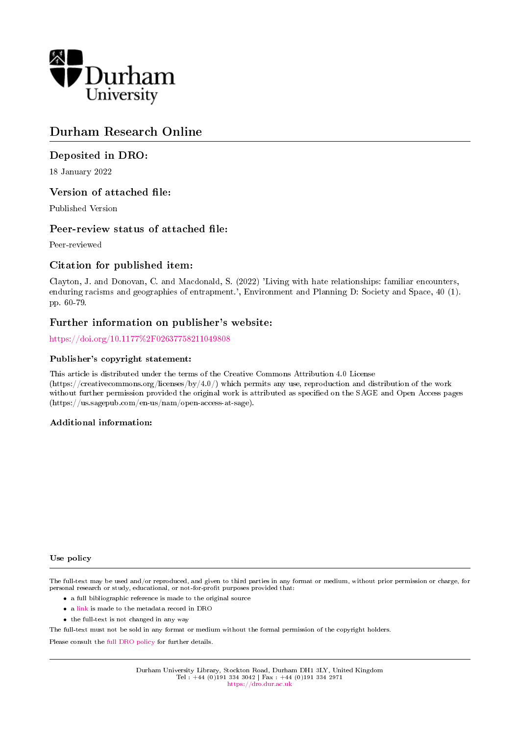

## Durham Research Online

## Deposited in DRO:

18 January 2022

## Version of attached file:

Published Version

## Peer-review status of attached file:

Peer-reviewed

## Citation for published item:

Clayton, J. and Donovan, C. and Macdonald, S. (2022) 'Living with hate relationships: familiar encounters, enduring racisms and geographies of entrapment.', Environment and Planning D: Society and Space, 40 (1). pp. 60-79.

## Further information on publisher's website:

<https://doi.org/10.1177%2F02637758211049808>

## Publisher's copyright statement:

This article is distributed under the terms of the Creative Commons Attribution 4.0 License (https://creativecommons.org/licenses/by/4.0/) which permits any use, reproduction and distribution of the work without further permission provided the original work is attributed as specified on the SAGE and Open Access pages (https://us.sagepub.com/en-us/nam/open-access-at-sage).

## Additional information:

#### Use policy

The full-text may be used and/or reproduced, and given to third parties in any format or medium, without prior permission or charge, for personal research or study, educational, or not-for-profit purposes provided that:

- a full bibliographic reference is made to the original source
- a [link](http://dro.dur.ac.uk/33872/) is made to the metadata record in DRO
- the full-text is not changed in any way

The full-text must not be sold in any format or medium without the formal permission of the copyright holders.

Please consult the [full DRO policy](https://dro.dur.ac.uk/policies/usepolicy.pdf) for further details.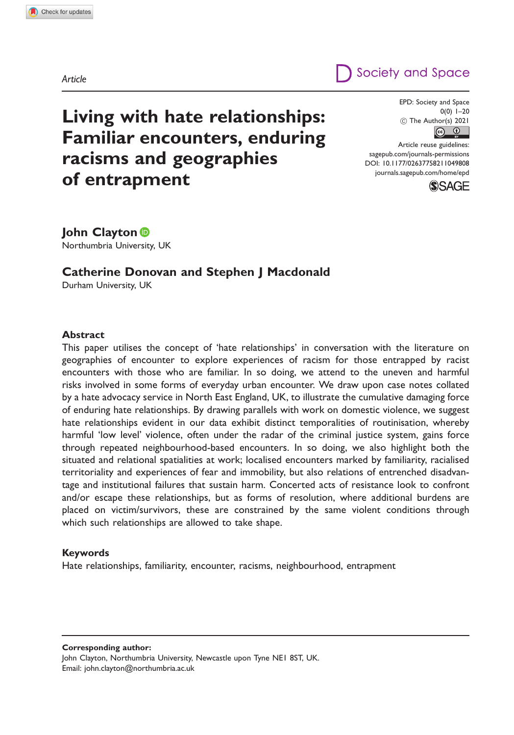# Society and Space

# Living with hate relationships: Familiar encounters, enduring racisms and geographies of entrapment

EPD: Society and Space 0(0) 1–20  $\circled{c}$  The Author(s) 2021

Article reuse guidelines: [sagepub.com/journals-permissions](http://uk.sagepub.com/en-gb/journals-permissions) [DOI: 10.1177/02637758211049808](http://dx.doi.org/10.1177/02637758211049808) <journals.sagepub.com/home/epd>



John Clayton **D** Northumbria University, UK

## Catherine Donovan and Stephen J Macdonald

Durham University, UK

#### Abstract

This paper utilises the concept of 'hate relationships' in conversation with the literature on geographies of encounter to explore experiences of racism for those entrapped by racist encounters with those who are familiar. In so doing, we attend to the uneven and harmful risks involved in some forms of everyday urban encounter. We draw upon case notes collated by a hate advocacy service in North East England, UK, to illustrate the cumulative damaging force of enduring hate relationships. By drawing parallels with work on domestic violence, we suggest hate relationships evident in our data exhibit distinct temporalities of routinisation, whereby harmful 'low level' violence, often under the radar of the criminal justice system, gains force through repeated neighbourhood-based encounters. In so doing, we also highlight both the situated and relational spatialities at work; localised encounters marked by familiarity, racialised territoriality and experiences of fear and immobility, but also relations of entrenched disadvantage and institutional failures that sustain harm. Concerted acts of resistance look to confront and/or escape these relationships, but as forms of resolution, where additional burdens are placed on victim/survivors, these are constrained by the same violent conditions through which such relationships are allowed to take shape.

#### Keywords

Hate relationships, familiarity, encounter, racisms, neighbourhood, entrapment

Corresponding author:

John Clayton, Northumbria University, Newcastle upon Tyne NE1 8ST, UK. Email: [john.clayton@northumbria.ac.uk](mailto:john.clayton@northumbria.ac.uk)

Article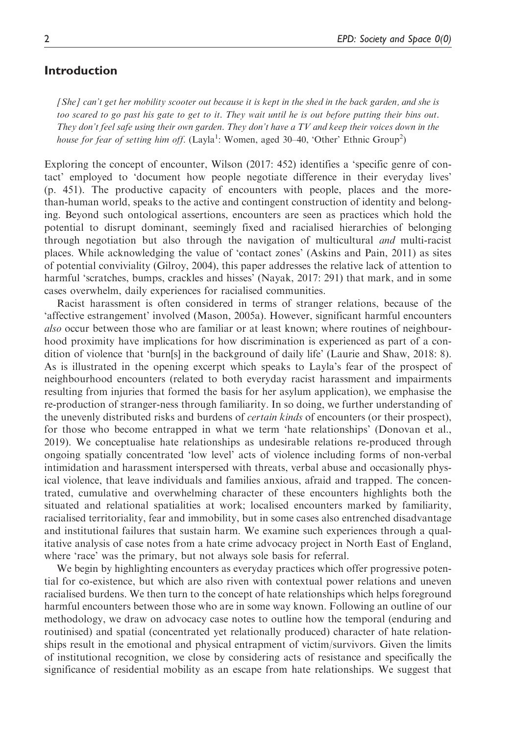## Introduction

[She] can't get her mobility scooter out because it is kept in the shed in the back garden, and she is too scared to go past his gate to get to it. They wait until he is out before putting their bins out. They don't feel safe using their own garden. They don't have a TV and keep their voices down in the house for fear of setting him off. (Layla<sup>1</sup>: Women, aged 30–40, 'Other' Ethnic Group<sup>2</sup>)

Exploring the concept of encounter, Wilson (2017: 452) identifies a 'specific genre of contact' employed to 'document how people negotiate difference in their everyday lives' (p. 451). The productive capacity of encounters with people, places and the morethan-human world, speaks to the active and contingent construction of identity and belonging. Beyond such ontological assertions, encounters are seen as practices which hold the potential to disrupt dominant, seemingly fixed and racialised hierarchies of belonging through negotiation but also through the navigation of multicultural and multi-racist places. While acknowledging the value of 'contact zones' (Askins and Pain, 2011) as sites of potential conviviality (Gilroy, 2004), this paper addresses the relative lack of attention to harmful 'scratches, bumps, crackles and hisses' (Nayak, 2017: 291) that mark, and in some cases overwhelm, daily experiences for racialised communities.

Racist harassment is often considered in terms of stranger relations, because of the 'affective estrangement' involved (Mason, 2005a). However, significant harmful encounters also occur between those who are familiar or at least known; where routines of neighbourhood proximity have implications for how discrimination is experienced as part of a condition of violence that 'burn[s] in the background of daily life' (Laurie and Shaw, 2018: 8). As is illustrated in the opening excerpt which speaks to Layla's fear of the prospect of neighbourhood encounters (related to both everyday racist harassment and impairments resulting from injuries that formed the basis for her asylum application), we emphasise the re-production of stranger-ness through familiarity. In so doing, we further understanding of the unevenly distributed risks and burdens of *certain kinds* of encounters (or their prospect), for those who become entrapped in what we term 'hate relationships' (Donovan et al., 2019). We conceptualise hate relationships as undesirable relations re-produced through ongoing spatially concentrated 'low level' acts of violence including forms of non-verbal intimidation and harassment interspersed with threats, verbal abuse and occasionally physical violence, that leave individuals and families anxious, afraid and trapped. The concentrated, cumulative and overwhelming character of these encounters highlights both the situated and relational spatialities at work; localised encounters marked by familiarity, racialised territoriality, fear and immobility, but in some cases also entrenched disadvantage and institutional failures that sustain harm. We examine such experiences through a qualitative analysis of case notes from a hate crime advocacy project in North East of England, where 'race' was the primary, but not always sole basis for referral.

We begin by highlighting encounters as everyday practices which offer progressive potential for co-existence, but which are also riven with contextual power relations and uneven racialised burdens. We then turn to the concept of hate relationships which helps foreground harmful encounters between those who are in some way known. Following an outline of our methodology, we draw on advocacy case notes to outline how the temporal (enduring and routinised) and spatial (concentrated yet relationally produced) character of hate relationships result in the emotional and physical entrapment of victim/survivors. Given the limits of institutional recognition, we close by considering acts of resistance and specifically the significance of residential mobility as an escape from hate relationships. We suggest that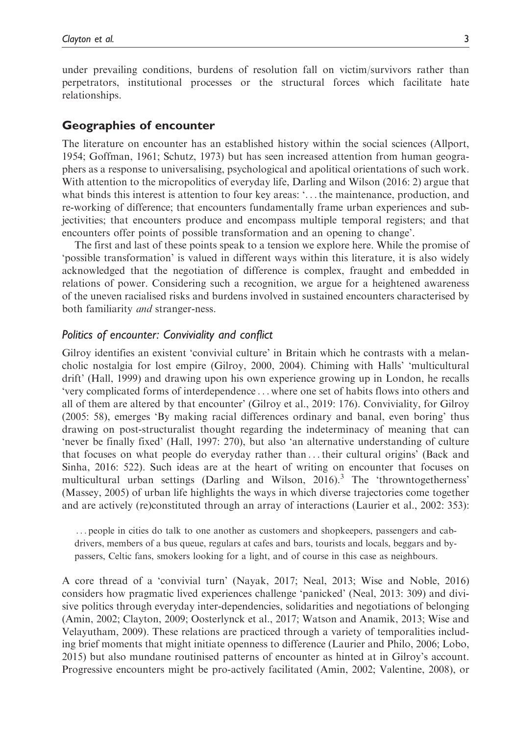under prevailing conditions, burdens of resolution fall on victim/survivors rather than perpetrators, institutional processes or the structural forces which facilitate hate relationships.

#### Geographies of encounter

The literature on encounter has an established history within the social sciences (Allport, 1954; Goffman, 1961; Schutz, 1973) but has seen increased attention from human geographers as a response to universalising, psychological and apolitical orientations of such work. With attention to the micropolitics of everyday life, Darling and Wilson (2016: 2) argue that what binds this interest is attention to four key areas: '... the maintenance, production, and re-working of difference; that encounters fundamentally frame urban experiences and subjectivities; that encounters produce and encompass multiple temporal registers; and that encounters offer points of possible transformation and an opening to change'.

The first and last of these points speak to a tension we explore here. While the promise of 'possible transformation' is valued in different ways within this literature, it is also widely acknowledged that the negotiation of difference is complex, fraught and embedded in relations of power. Considering such a recognition, we argue for a heightened awareness of the uneven racialised risks and burdens involved in sustained encounters characterised by both familiarity and stranger-ness.

#### Politics of encounter: Conviviality and conflict

Gilroy identifies an existent 'convivial culture' in Britain which he contrasts with a melancholic nostalgia for lost empire (Gilroy, 2000, 2004). Chiming with Halls' 'multicultural drift' (Hall, 1999) and drawing upon his own experience growing up in London, he recalls 'very complicated forms of interdependence ... where one set of habits flows into others and all of them are altered by that encounter' (Gilroy et al., 2019: 176). Conviviality, for Gilroy (2005: 58), emerges 'By making racial differences ordinary and banal, even boring' thus drawing on post-structuralist thought regarding the indeterminacy of meaning that can 'never be finally fixed' (Hall, 1997: 270), but also 'an alternative understanding of culture that focuses on what people do everyday rather than ... their cultural origins' (Back and Sinha, 2016: 522). Such ideas are at the heart of writing on encounter that focuses on multicultural urban settings (Darling and Wilson,  $2016$ ).<sup>3</sup> The 'throwntogetherness' (Massey, 2005) of urban life highlights the ways in which diverse trajectories come together and are actively (re)constituted through an array of interactions (Laurier et al., 2002: 353):

... people in cities do talk to one another as customers and shopkeepers, passengers and cabdrivers, members of a bus queue, regulars at cafes and bars, tourists and locals, beggars and bypassers, Celtic fans, smokers looking for a light, and of course in this case as neighbours.

A core thread of a 'convivial turn' (Nayak, 2017; Neal, 2013; Wise and Noble, 2016) considers how pragmatic lived experiences challenge 'panicked' (Neal, 2013: 309) and divisive politics through everyday inter-dependencies, solidarities and negotiations of belonging (Amin, 2002; Clayton, 2009; Oosterlynck et al., 2017; Watson and Anamik, 2013; Wise and Velayutham, 2009). These relations are practiced through a variety of temporalities including brief moments that might initiate openness to difference (Laurier and Philo, 2006; Lobo, 2015) but also mundane routinised patterns of encounter as hinted at in Gilroy's account. Progressive encounters might be pro-actively facilitated (Amin, 2002; Valentine, 2008), or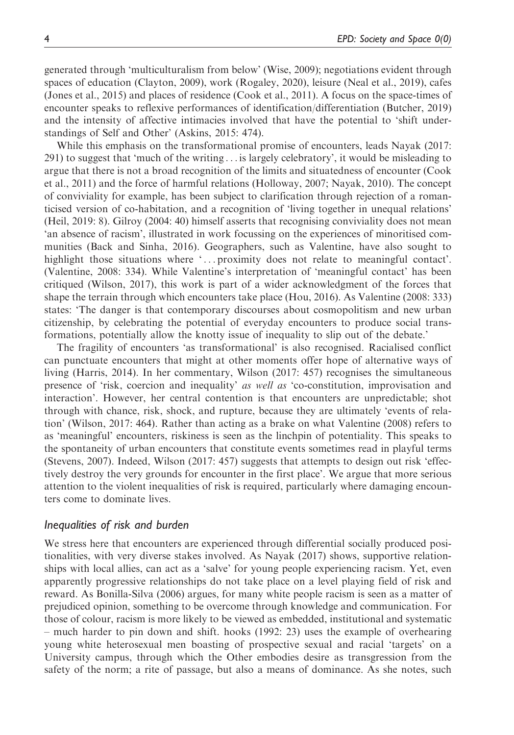generated through 'multiculturalism from below' (Wise, 2009); negotiations evident through spaces of education (Clayton, 2009), work (Rogaley, 2020), leisure (Neal et al., 2019), cafes (Jones et al., 2015) and places of residence (Cook et al., 2011). A focus on the space-times of encounter speaks to reflexive performances of identification/differentiation (Butcher, 2019) and the intensity of affective intimacies involved that have the potential to 'shift understandings of Self and Other' (Askins, 2015: 474).

While this emphasis on the transformational promise of encounters, leads Nayak (2017: 291) to suggest that 'much of the writing ... is largely celebratory', it would be misleading to argue that there is not a broad recognition of the limits and situatedness of encounter (Cook et al., 2011) and the force of harmful relations (Holloway, 2007; Nayak, 2010). The concept of conviviality for example, has been subject to clarification through rejection of a romanticised version of co-habitation, and a recognition of 'living together in unequal relations' (Heil, 2019: 8). Gilroy (2004: 40) himself asserts that recognising conviviality does not mean 'an absence of racism', illustrated in work focussing on the experiences of minoritised communities (Back and Sinha, 2016). Geographers, such as Valentine, have also sought to highlight those situations where '... proximity does not relate to meaningful contact'. (Valentine, 2008: 334). While Valentine's interpretation of 'meaningful contact' has been critiqued (Wilson, 2017), this work is part of a wider acknowledgment of the forces that shape the terrain through which encounters take place (Hou, 2016). As Valentine (2008: 333) states: 'The danger is that contemporary discourses about cosmopolitism and new urban citizenship, by celebrating the potential of everyday encounters to produce social transformations, potentially allow the knotty issue of inequality to slip out of the debate.'

The fragility of encounters 'as transformational' is also recognised. Racialised conflict can punctuate encounters that might at other moments offer hope of alternative ways of living (Harris, 2014). In her commentary, Wilson (2017: 457) recognises the simultaneous presence of 'risk, coercion and inequality' as well as 'co-constitution, improvisation and interaction'. However, her central contention is that encounters are unpredictable; shot through with chance, risk, shock, and rupture, because they are ultimately 'events of relation' (Wilson, 2017: 464). Rather than acting as a brake on what Valentine (2008) refers to as 'meaningful' encounters, riskiness is seen as the linchpin of potentiality. This speaks to the spontaneity of urban encounters that constitute events sometimes read in playful terms (Stevens, 2007). Indeed, Wilson (2017: 457) suggests that attempts to design out risk 'effectively destroy the very grounds for encounter in the first place'. We argue that more serious attention to the violent inequalities of risk is required, particularly where damaging encounters come to dominate lives.

#### Inequalities of risk and burden

We stress here that encounters are experienced through differential socially produced positionalities, with very diverse stakes involved. As Nayak (2017) shows, supportive relationships with local allies, can act as a 'salve' for young people experiencing racism. Yet, even apparently progressive relationships do not take place on a level playing field of risk and reward. As Bonilla-Silva (2006) argues, for many white people racism is seen as a matter of prejudiced opinion, something to be overcome through knowledge and communication. For those of colour, racism is more likely to be viewed as embedded, institutional and systematic – much harder to pin down and shift. hooks (1992: 23) uses the example of overhearing young white heterosexual men boasting of prospective sexual and racial 'targets' on a University campus, through which the Other embodies desire as transgression from the safety of the norm; a rite of passage, but also a means of dominance. As she notes, such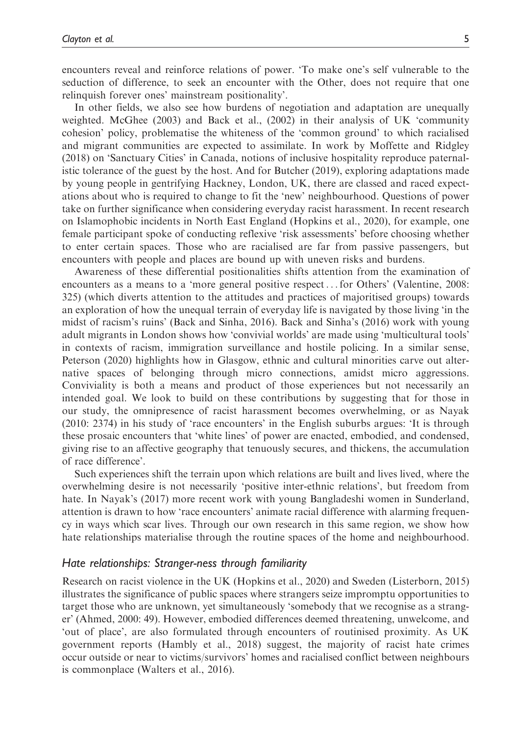encounters reveal and reinforce relations of power. 'To make one's self vulnerable to the seduction of difference, to seek an encounter with the Other, does not require that one relinquish forever ones' mainstream positionality'.

In other fields, we also see how burdens of negotiation and adaptation are unequally weighted. McGhee (2003) and Back et al., (2002) in their analysis of UK 'community cohesion' policy, problematise the whiteness of the 'common ground' to which racialised and migrant communities are expected to assimilate. In work by Moffette and Ridgley (2018) on 'Sanctuary Cities' in Canada, notions of inclusive hospitality reproduce paternalistic tolerance of the guest by the host. And for Butcher (2019), exploring adaptations made by young people in gentrifying Hackney, London, UK, there are classed and raced expectations about who is required to change to fit the 'new' neighbourhood. Questions of power take on further significance when considering everyday racist harassment. In recent research on Islamophobic incidents in North East England (Hopkins et al., 2020), for example, one female participant spoke of conducting reflexive 'risk assessments' before choosing whether to enter certain spaces. Those who are racialised are far from passive passengers, but encounters with people and places are bound up with uneven risks and burdens.

Awareness of these differential positionalities shifts attention from the examination of encounters as a means to a 'more general positive respect ... for Others' (Valentine, 2008: 325) (which diverts attention to the attitudes and practices of majoritised groups) towards an exploration of how the unequal terrain of everyday life is navigated by those living 'in the midst of racism's ruins' (Back and Sinha, 2016). Back and Sinha's (2016) work with young adult migrants in London shows how 'convivial worlds' are made using 'multicultural tools' in contexts of racism, immigration surveillance and hostile policing. In a similar sense, Peterson (2020) highlights how in Glasgow, ethnic and cultural minorities carve out alternative spaces of belonging through micro connections, amidst micro aggressions. Conviviality is both a means and product of those experiences but not necessarily an intended goal. We look to build on these contributions by suggesting that for those in our study, the omnipresence of racist harassment becomes overwhelming, or as Nayak (2010: 2374) in his study of 'race encounters' in the English suburbs argues: 'It is through these prosaic encounters that 'white lines' of power are enacted, embodied, and condensed, giving rise to an affective geography that tenuously secures, and thickens, the accumulation of race difference'.

Such experiences shift the terrain upon which relations are built and lives lived, where the overwhelming desire is not necessarily 'positive inter-ethnic relations', but freedom from hate. In Nayak's (2017) more recent work with young Bangladeshi women in Sunderland, attention is drawn to how 'race encounters' animate racial difference with alarming frequency in ways which scar lives. Through our own research in this same region, we show how hate relationships materialise through the routine spaces of the home and neighbourhood.

#### Hate relationships: Stranger-ness through familiarity

Research on racist violence in the UK (Hopkins et al., 2020) and Sweden (Listerborn, 2015) illustrates the significance of public spaces where strangers seize impromptu opportunities to target those who are unknown, yet simultaneously 'somebody that we recognise as a stranger' (Ahmed, 2000: 49). However, embodied differences deemed threatening, unwelcome, and 'out of place', are also formulated through encounters of routinised proximity. As UK government reports (Hambly et al., 2018) suggest, the majority of racist hate crimes occur outside or near to victims/survivors' homes and racialised conflict between neighbours is commonplace (Walters et al., 2016).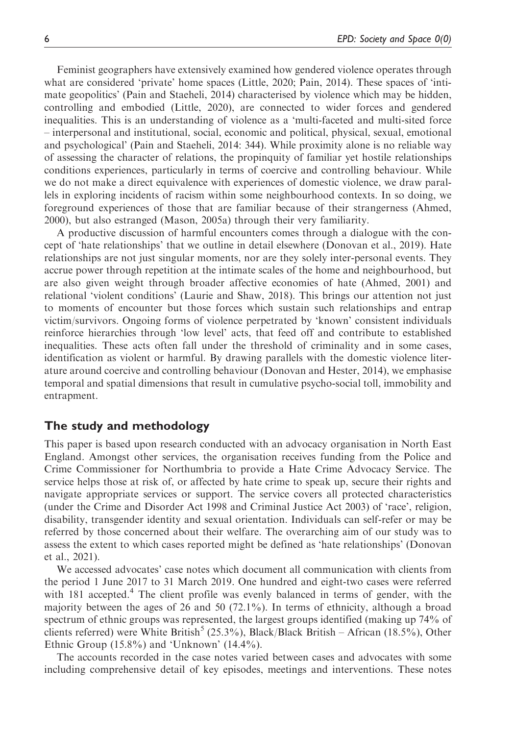Feminist geographers have extensively examined how gendered violence operates through what are considered 'private' home spaces (Little, 2020; Pain, 2014). These spaces of 'intimate geopolitics' (Pain and Staeheli, 2014) characterised by violence which may be hidden, controlling and embodied (Little, 2020), are connected to wider forces and gendered inequalities. This is an understanding of violence as a 'multi-faceted and multi-sited force – interpersonal and institutional, social, economic and political, physical, sexual, emotional and psychological' (Pain and Staeheli, 2014: 344). While proximity alone is no reliable way of assessing the character of relations, the propinquity of familiar yet hostile relationships conditions experiences, particularly in terms of coercive and controlling behaviour. While we do not make a direct equivalence with experiences of domestic violence, we draw parallels in exploring incidents of racism within some neighbourhood contexts. In so doing, we foreground experiences of those that are familiar because of their strangerness (Ahmed, 2000), but also estranged (Mason, 2005a) through their very familiarity.

A productive discussion of harmful encounters comes through a dialogue with the concept of 'hate relationships' that we outline in detail elsewhere (Donovan et al., 2019). Hate relationships are not just singular moments, nor are they solely inter-personal events. They accrue power through repetition at the intimate scales of the home and neighbourhood, but are also given weight through broader affective economies of hate (Ahmed, 2001) and relational 'violent conditions' (Laurie and Shaw, 2018). This brings our attention not just to moments of encounter but those forces which sustain such relationships and entrap victim/survivors. Ongoing forms of violence perpetrated by 'known' consistent individuals reinforce hierarchies through 'low level' acts, that feed off and contribute to established inequalities. These acts often fall under the threshold of criminality and in some cases, identification as violent or harmful. By drawing parallels with the domestic violence literature around coercive and controlling behaviour (Donovan and Hester, 2014), we emphasise temporal and spatial dimensions that result in cumulative psycho-social toll, immobility and entrapment.

### The study and methodology

This paper is based upon research conducted with an advocacy organisation in North East England. Amongst other services, the organisation receives funding from the Police and Crime Commissioner for Northumbria to provide a Hate Crime Advocacy Service. The service helps those at risk of, or affected by hate crime to speak up, secure their rights and navigate appropriate services or support. The service covers all protected characteristics (under the Crime and Disorder Act 1998 and Criminal Justice Act 2003) of 'race', religion, disability, transgender identity and sexual orientation. Individuals can self-refer or may be referred by those concerned about their welfare. The overarching aim of our study was to assess the extent to which cases reported might be defined as 'hate relationships' (Donovan et al., 2021).

We accessed advocates' case notes which document all communication with clients from the period 1 June 2017 to 31 March 2019. One hundred and eight-two cases were referred with  $181$  accepted.<sup>4</sup> The client profile was evenly balanced in terms of gender, with the majority between the ages of 26 and 50 (72.1%). In terms of ethnicity, although a broad spectrum of ethnic groups was represented, the largest groups identified (making up 74% of clients referred) were White British<sup>5</sup> (25.3%), Black/Black British – African (18.5%), Other Ethnic Group  $(15.8\%)$  and 'Unknown'  $(14.4\%)$ .

The accounts recorded in the case notes varied between cases and advocates with some including comprehensive detail of key episodes, meetings and interventions. These notes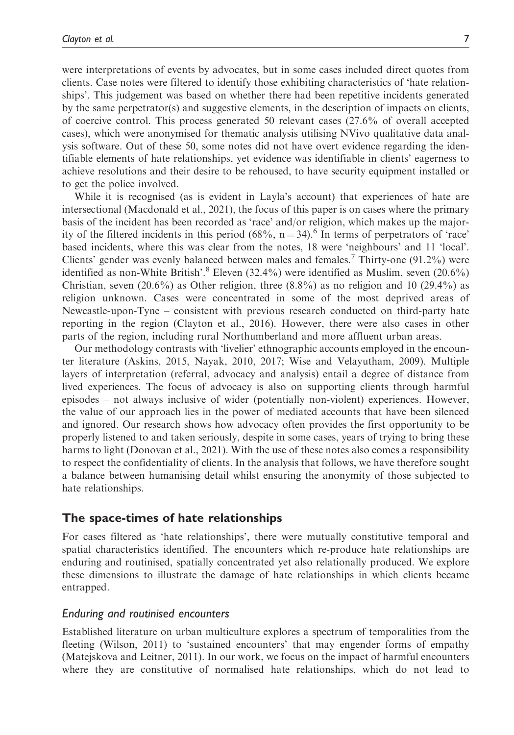were interpretations of events by advocates, but in some cases included direct quotes from clients. Case notes were filtered to identify those exhibiting characteristics of 'hate relationships'. This judgement was based on whether there had been repetitive incidents generated by the same perpetrator(s) and suggestive elements, in the description of impacts on clients, of coercive control. This process generated 50 relevant cases (27.6% of overall accepted cases), which were anonymised for thematic analysis utilising NVivo qualitative data analysis software. Out of these 50, some notes did not have overt evidence regarding the identifiable elements of hate relationships, yet evidence was identifiable in clients' eagerness to achieve resolutions and their desire to be rehoused, to have security equipment installed or to get the police involved.

While it is recognised (as is evident in Layla's account) that experiences of hate are intersectional (Macdonald et al., 2021), the focus of this paper is on cases where the primary basis of the incident has been recorded as 'race' and/or religion, which makes up the majority of the filtered incidents in this period (68%,  $n = 34$ ).<sup>6</sup> In terms of perpetrators of 'race' based incidents, where this was clear from the notes, 18 were 'neighbours' and 11 'local'. Clients' gender was evenly balanced between males and females.<sup>7</sup> Thirty-one  $(91.2%)$  were identified as non-White British'.<sup>8</sup> Eleven (32.4%) were identified as Muslim, seven (20.6%) Christian, seven  $(20.6\%)$  as Other religion, three  $(8.8\%)$  as no religion and 10  $(29.4\%)$  as religion unknown. Cases were concentrated in some of the most deprived areas of Newcastle-upon-Tyne – consistent with previous research conducted on third-party hate reporting in the region (Clayton et al., 2016). However, there were also cases in other parts of the region, including rural Northumberland and more affluent urban areas.

Our methodology contrasts with 'livelier' ethnographic accounts employed in the encounter literature (Askins, 2015, Nayak, 2010, 2017; Wise and Velayutham, 2009). Multiple layers of interpretation (referral, advocacy and analysis) entail a degree of distance from lived experiences. The focus of advocacy is also on supporting clients through harmful episodes – not always inclusive of wider (potentially non-violent) experiences. However, the value of our approach lies in the power of mediated accounts that have been silenced and ignored. Our research shows how advocacy often provides the first opportunity to be properly listened to and taken seriously, despite in some cases, years of trying to bring these harms to light (Donovan et al., 2021). With the use of these notes also comes a responsibility to respect the confidentiality of clients. In the analysis that follows, we have therefore sought a balance between humanising detail whilst ensuring the anonymity of those subjected to hate relationships.

## The space-times of hate relationships

For cases filtered as 'hate relationships', there were mutually constitutive temporal and spatial characteristics identified. The encounters which re-produce hate relationships are enduring and routinised, spatially concentrated yet also relationally produced. We explore these dimensions to illustrate the damage of hate relationships in which clients became entrapped.

#### Enduring and routinised encounters

Established literature on urban multiculture explores a spectrum of temporalities from the fleeting (Wilson, 2011) to 'sustained encounters' that may engender forms of empathy (Matejskova and Leitner, 2011). In our work, we focus on the impact of harmful encounters where they are constitutive of normalised hate relationships, which do not lead to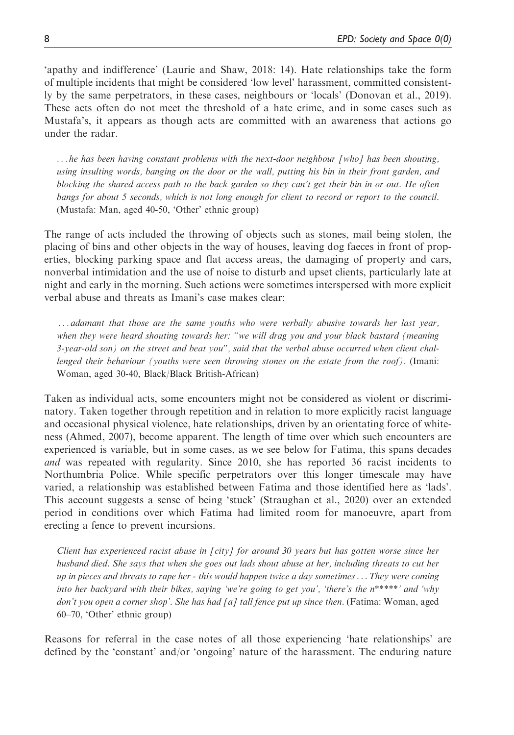'apathy and indifference' (Laurie and Shaw, 2018: 14). Hate relationships take the form of multiple incidents that might be considered 'low level' harassment, committed consistently by the same perpetrators, in these cases, neighbours or 'locals' (Donovan et al., 2019). These acts often do not meet the threshold of a hate crime, and in some cases such as Mustafa's, it appears as though acts are committed with an awareness that actions go under the radar.

 $\ldots$  he has been having constant problems with the next-door neighbour [who] has been shouting, using insulting words, banging on the door or the wall, putting his bin in their front garden, and blocking the shared access path to the back garden so they can't get their bin in or out. He often bangs for about 5 seconds, which is not long enough for client to record or report to the council. (Mustafa: Man, aged 40-50, 'Other' ethnic group)

The range of acts included the throwing of objects such as stones, mail being stolen, the placing of bins and other objects in the way of houses, leaving dog faeces in front of properties, blocking parking space and flat access areas, the damaging of property and cars, nonverbal intimidation and the use of noise to disturb and upset clients, particularly late at night and early in the morning. Such actions were sometimes interspersed with more explicit verbal abuse and threats as Imani's case makes clear:

... adamant that those are the same youths who were verbally abusive towards her last year, when they were heard shouting towards her: "we will drag you and your black bastard (meaning 3-year-old son) on the street and beat you", said that the verbal abuse occurred when client challenged their behaviour (youths were seen throwing stones on the estate from the roof). (Imani: Woman, aged 30-40, Black/Black British-African)

Taken as individual acts, some encounters might not be considered as violent or discriminatory. Taken together through repetition and in relation to more explicitly racist language and occasional physical violence, hate relationships, driven by an orientating force of whiteness (Ahmed, 2007), become apparent. The length of time over which such encounters are experienced is variable, but in some cases, as we see below for Fatima, this spans decades and was repeated with regularity. Since 2010, she has reported 36 racist incidents to Northumbria Police. While specific perpetrators over this longer timescale may have varied, a relationship was established between Fatima and those identified here as 'lads'. This account suggests a sense of being 'stuck' (Straughan et al., 2020) over an extended period in conditions over which Fatima had limited room for manoeuvre, apart from erecting a fence to prevent incursions.

Client has experienced racist abuse in [city] for around 30 years but has gotten worse since her husband died. She says that when she goes out lads shout abuse at her, including threats to cut her up in pieces and threats to rape her - this would happen twice a day sometimes... They were coming into her backyard with their bikes, saying 'we're going to get you', 'there's the n\*\*\*\*\*' and 'why don't you open a corner shop'. She has had [a] tall fence put up since then. (Fatima: Woman, aged 60–70, 'Other' ethnic group)

Reasons for referral in the case notes of all those experiencing 'hate relationships' are defined by the 'constant' and/or 'ongoing' nature of the harassment. The enduring nature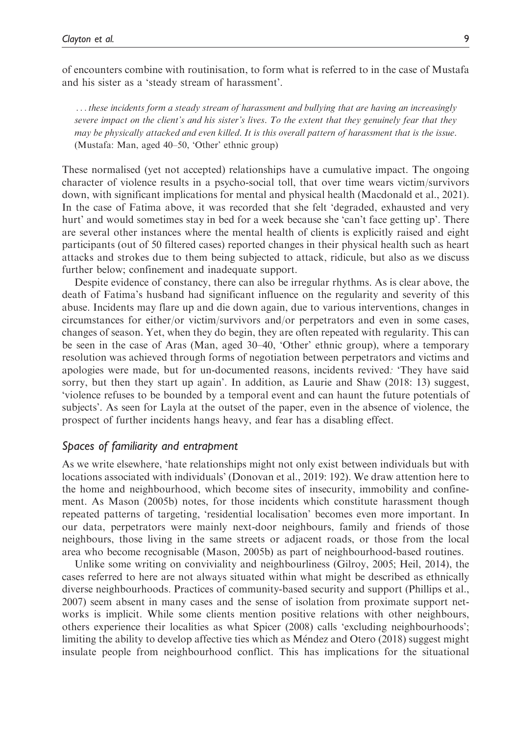of encounters combine with routinisation, to form what is referred to in the case of Mustafa and his sister as a 'steady stream of harassment'.

...these incidents form a steady stream of harassment and bullying that are having an increasingly severe impact on the client's and his sister's lives. To the extent that they genuinely fear that they may be physically attacked and even killed. It is this overall pattern of harassment that is the issue. (Mustafa: Man, aged 40–50, 'Other' ethnic group)

These normalised (yet not accepted) relationships have a cumulative impact. The ongoing character of violence results in a psycho-social toll, that over time wears victim/survivors down, with significant implications for mental and physical health (Macdonald et al., 2021). In the case of Fatima above, it was recorded that she felt 'degraded, exhausted and very hurt' and would sometimes stay in bed for a week because she 'can't face getting up'. There are several other instances where the mental health of clients is explicitly raised and eight participants (out of 50 filtered cases) reported changes in their physical health such as heart attacks and strokes due to them being subjected to attack, ridicule, but also as we discuss further below; confinement and inadequate support.

Despite evidence of constancy, there can also be irregular rhythms. As is clear above, the death of Fatima's husband had significant influence on the regularity and severity of this abuse. Incidents may flare up and die down again, due to various interventions, changes in circumstances for either/or victim/survivors and/or perpetrators and even in some cases, changes of season. Yet, when they do begin, they are often repeated with regularity. This can be seen in the case of Aras (Man, aged 30–40, 'Other' ethnic group), where a temporary resolution was achieved through forms of negotiation between perpetrators and victims and apologies were made, but for un-documented reasons, incidents revived: 'They have said sorry, but then they start up again'. In addition, as Laurie and Shaw (2018: 13) suggest, 'violence refuses to be bounded by a temporal event and can haunt the future potentials of subjects'. As seen for Layla at the outset of the paper, even in the absence of violence, the prospect of further incidents hangs heavy, and fear has a disabling effect.

#### Spaces of familiarity and entrapment

As we write elsewhere, 'hate relationships might not only exist between individuals but with locations associated with individuals' (Donovan et al., 2019: 192). We draw attention here to the home and neighbourhood, which become sites of insecurity, immobility and confinement. As Mason (2005b) notes, for those incidents which constitute harassment though repeated patterns of targeting, 'residential localisation' becomes even more important. In our data, perpetrators were mainly next-door neighbours, family and friends of those neighbours, those living in the same streets or adjacent roads, or those from the local area who become recognisable (Mason, 2005b) as part of neighbourhood-based routines.

Unlike some writing on conviviality and neighbourliness (Gilroy, 2005; Heil, 2014), the cases referred to here are not always situated within what might be described as ethnically diverse neighbourhoods. Practices of community-based security and support (Phillips et al., 2007) seem absent in many cases and the sense of isolation from proximate support networks is implicit. While some clients mention positive relations with other neighbours, others experience their localities as what Spicer (2008) calls 'excluding neighbourhoods'; limiting the ability to develop affective ties which as Méndez and Otero (2018) suggest might insulate people from neighbourhood conflict. This has implications for the situational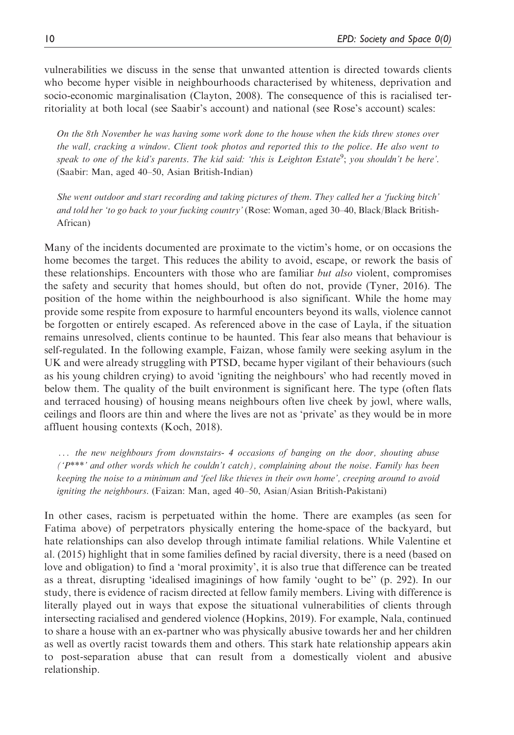vulnerabilities we discuss in the sense that unwanted attention is directed towards clients who become hyper visible in neighbourhoods characterised by whiteness, deprivation and socio-economic marginalisation (Clayton, 2008). The consequence of this is racialised territoriality at both local (see Saabir's account) and national (see Rose's account) scales:

On the 8th November he was having some work done to the house when the kids threw stones over the wall, cracking a window. Client took photos and reported this to the police. He also went to speak to one of the kid's parents. The kid said: 'this is Leighton Estate<sup>9</sup>; you shouldn't be here'. (Saabir: Man, aged 40–50, Asian British-Indian)

She went outdoor and start recording and taking pictures of them. They called her a 'fucking bitch' and told her 'to go back to your fucking country' (Rose: Woman, aged 30–40, Black/Black British-African)

Many of the incidents documented are proximate to the victim's home, or on occasions the home becomes the target. This reduces the ability to avoid, escape, or rework the basis of these relationships. Encounters with those who are familiar *but also* violent, compromises the safety and security that homes should, but often do not, provide (Tyner, 2016). The position of the home within the neighbourhood is also significant. While the home may provide some respite from exposure to harmful encounters beyond its walls, violence cannot be forgotten or entirely escaped. As referenced above in the case of Layla, if the situation remains unresolved, clients continue to be haunted. This fear also means that behaviour is self-regulated. In the following example, Faizan, whose family were seeking asylum in the UK and were already struggling with PTSD, became hyper vigilant of their behaviours (such as his young children crying) to avoid 'igniting the neighbours' who had recently moved in below them. The quality of the built environment is significant here. The type (often flats and terraced housing) of housing means neighbours often live cheek by jowl, where walls, ceilings and floors are thin and where the lives are not as 'private' as they would be in more affluent housing contexts (Koch, 2018).

... the new neighbours from downstairs- 4 occasions of banging on the door, shouting abuse  $(1<sup>p***</sup>)$  and other words which he couldn't catch), complaining about the noise. Family has been keeping the noise to a minimum and 'feel like thieves in their own home', creeping around to avoid igniting the neighbours. (Faizan: Man, aged 40–50, Asian/Asian British-Pakistani)

In other cases, racism is perpetuated within the home. There are examples (as seen for Fatima above) of perpetrators physically entering the home-space of the backyard, but hate relationships can also develop through intimate familial relations. While Valentine et al. (2015) highlight that in some families defined by racial diversity, there is a need (based on love and obligation) to find a 'moral proximity', it is also true that difference can be treated as a threat, disrupting 'idealised imaginings of how family 'ought to be'' (p. 292). In our study, there is evidence of racism directed at fellow family members. Living with difference is literally played out in ways that expose the situational vulnerabilities of clients through intersecting racialised and gendered violence (Hopkins, 2019). For example, Nala, continued to share a house with an ex-partner who was physically abusive towards her and her children as well as overtly racist towards them and others. This stark hate relationship appears akin to post-separation abuse that can result from a domestically violent and abusive relationship.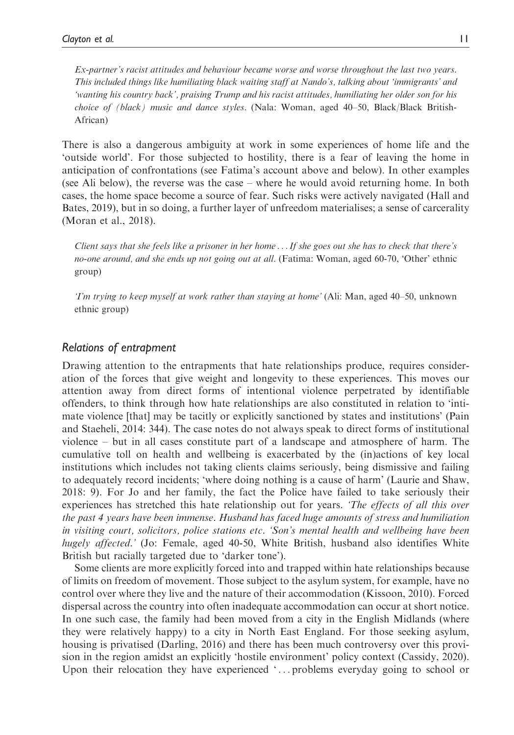Ex-partner's racist attitudes and behaviour became worse and worse throughout the last two years. This included things like humiliating black waiting staff at Nando's, talking about 'immigrants' and 'wanting his country back', praising Trump and his racist attitudes, humiliating her older son for his choice of (black) music and dance styles. (Nala: Woman, aged 40–50, Black/Black British-African)

There is also a dangerous ambiguity at work in some experiences of home life and the 'outside world'. For those subjected to hostility, there is a fear of leaving the home in anticipation of confrontations (see Fatima's account above and below). In other examples (see Ali below), the reverse was the case – where he would avoid returning home. In both cases, the home space become a source of fear. Such risks were actively navigated (Hall and Bates, 2019), but in so doing, a further layer of unfreedom materialises; a sense of carcerality (Moran et al., 2018).

Client says that she feels like a prisoner in her home ...If she goes out she has to check that there's no-one around, and she ends up not going out at all. (Fatima: Woman, aged 60-70, 'Other' ethnic group)

'I'm trying to keep myself at work rather than staying at home' (Ali: Man, aged 40–50, unknown ethnic group)

#### Relations of entrapment

Drawing attention to the entrapments that hate relationships produce, requires consideration of the forces that give weight and longevity to these experiences. This moves our attention away from direct forms of intentional violence perpetrated by identifiable offenders, to think through how hate relationships are also constituted in relation to 'intimate violence [that] may be tacitly or explicitly sanctioned by states and institutions' (Pain and Staeheli, 2014: 344). The case notes do not always speak to direct forms of institutional violence – but in all cases constitute part of a landscape and atmosphere of harm. The cumulative toll on health and wellbeing is exacerbated by the (in)actions of key local institutions which includes not taking clients claims seriously, being dismissive and failing to adequately record incidents; 'where doing nothing is a cause of harm' (Laurie and Shaw, 2018: 9). For Jo and her family, the fact the Police have failed to take seriously their experiences has stretched this hate relationship out for years. *The effects of all this over* the past 4 years have been immense. Husband has faced huge amounts of stress and humiliation in visiting court, solicitors, police stations etc. 'Son's mental health and wellbeing have been hugely affected.' (Jo: Female, aged 40-50, White British, husband also identifies White British but racially targeted due to 'darker tone').

Some clients are more explicitly forced into and trapped within hate relationships because of limits on freedom of movement. Those subject to the asylum system, for example, have no control over where they live and the nature of their accommodation (Kissoon, 2010). Forced dispersal across the country into often inadequate accommodation can occur at short notice. In one such case, the family had been moved from a city in the English Midlands (where they were relatively happy) to a city in North East England. For those seeking asylum, housing is privatised (Darling, 2016) and there has been much controversy over this provision in the region amidst an explicitly 'hostile environment' policy context (Cassidy, 2020). Upon their relocation they have experienced '... problems everyday going to school or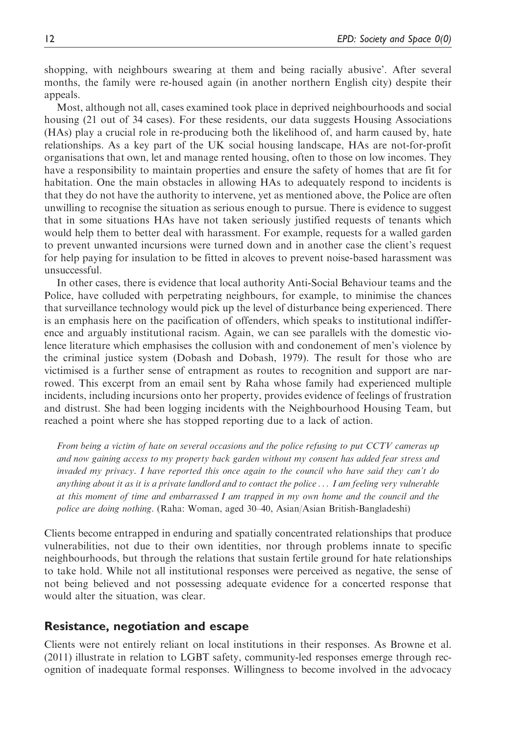shopping, with neighbours swearing at them and being racially abusive'. After several months, the family were re-housed again (in another northern English city) despite their appeals.

Most, although not all, cases examined took place in deprived neighbourhoods and social housing (21 out of 34 cases). For these residents, our data suggests Housing Associations (HAs) play a crucial role in re-producing both the likelihood of, and harm caused by, hate relationships. As a key part of the UK social housing landscape, HAs are not-for-profit organisations that own, let and manage rented housing, often to those on low incomes. They have a responsibility to maintain properties and ensure the safety of homes that are fit for habitation. One the main obstacles in allowing HAs to adequately respond to incidents is that they do not have the authority to intervene, yet as mentioned above, the Police are often unwilling to recognise the situation as serious enough to pursue. There is evidence to suggest that in some situations HAs have not taken seriously justified requests of tenants which would help them to better deal with harassment. For example, requests for a walled garden to prevent unwanted incursions were turned down and in another case the client's request for help paying for insulation to be fitted in alcoves to prevent noise-based harassment was unsuccessful.

In other cases, there is evidence that local authority Anti-Social Behaviour teams and the Police, have colluded with perpetrating neighbours, for example, to minimise the chances that surveillance technology would pick up the level of disturbance being experienced. There is an emphasis here on the pacification of offenders, which speaks to institutional indifference and arguably institutional racism. Again, we can see parallels with the domestic violence literature which emphasises the collusion with and condonement of men's violence by the criminal justice system (Dobash and Dobash, 1979). The result for those who are victimised is a further sense of entrapment as routes to recognition and support are narrowed. This excerpt from an email sent by Raha whose family had experienced multiple incidents, including incursions onto her property, provides evidence of feelings of frustration and distrust. She had been logging incidents with the Neighbourhood Housing Team, but reached a point where she has stopped reporting due to a lack of action.

From being a victim of hate on several occasions and the police refusing to put CCTV cameras up and now gaining access to my property back garden without my consent has added fear stress and invaded my privacy. I have reported this once again to the council who have said they can't do anything about it as it is a private landlord and to contact the police ... I am feeling very vulnerable at this moment of time and embarrassed I am trapped in my own home and the council and the police are doing nothing. (Raha: Woman, aged 30–40, Asian/Asian British-Bangladeshi)

Clients become entrapped in enduring and spatially concentrated relationships that produce vulnerabilities, not due to their own identities, nor through problems innate to specific neighbourhoods, but through the relations that sustain fertile ground for hate relationships to take hold. While not all institutional responses were perceived as negative, the sense of not being believed and not possessing adequate evidence for a concerted response that would alter the situation, was clear.

#### Resistance, negotiation and escape

Clients were not entirely reliant on local institutions in their responses. As Browne et al. (2011) illustrate in relation to LGBT safety, community-led responses emerge through recognition of inadequate formal responses. Willingness to become involved in the advocacy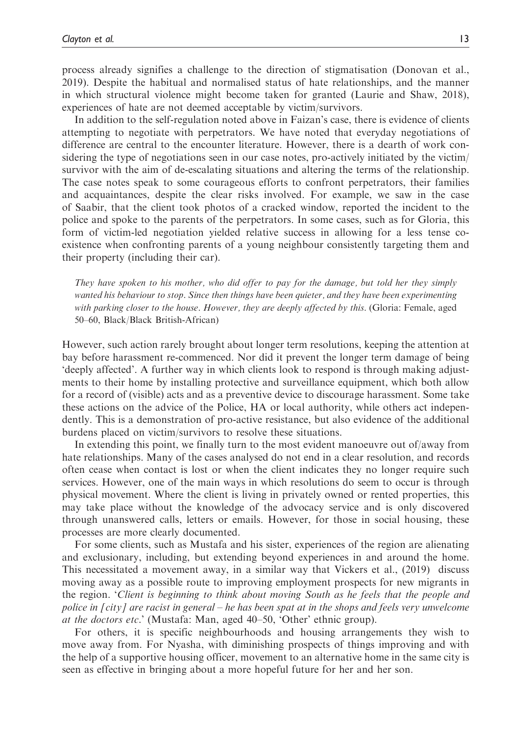process already signifies a challenge to the direction of stigmatisation (Donovan et al., 2019). Despite the habitual and normalised status of hate relationships, and the manner in which structural violence might become taken for granted (Laurie and Shaw, 2018), experiences of hate are not deemed acceptable by victim/survivors.

In addition to the self-regulation noted above in Faizan's case, there is evidence of clients attempting to negotiate with perpetrators. We have noted that everyday negotiations of difference are central to the encounter literature. However, there is a dearth of work considering the type of negotiations seen in our case notes, pro-actively initiated by the victim/ survivor with the aim of de-escalating situations and altering the terms of the relationship. The case notes speak to some courageous efforts to confront perpetrators, their families and acquaintances, despite the clear risks involved. For example, we saw in the case of Saabir, that the client took photos of a cracked window, reported the incident to the police and spoke to the parents of the perpetrators. In some cases, such as for Gloria, this form of victim-led negotiation yielded relative success in allowing for a less tense coexistence when confronting parents of a young neighbour consistently targeting them and their property (including their car).

They have spoken to his mother, who did offer to pay for the damage, but told her they simply wanted his behaviour to stop. Since then things have been quieter, and they have been experimenting with parking closer to the house. However, they are deeply affected by this. (Gloria: Female, aged 50–60, Black/Black British-African)

However, such action rarely brought about longer term resolutions, keeping the attention at bay before harassment re-commenced. Nor did it prevent the longer term damage of being 'deeply affected'. A further way in which clients look to respond is through making adjustments to their home by installing protective and surveillance equipment, which both allow for a record of (visible) acts and as a preventive device to discourage harassment. Some take these actions on the advice of the Police, HA or local authority, while others act independently. This is a demonstration of pro-active resistance, but also evidence of the additional burdens placed on victim/survivors to resolve these situations.

In extending this point, we finally turn to the most evident manoeuvre out of/away from hate relationships. Many of the cases analysed do not end in a clear resolution, and records often cease when contact is lost or when the client indicates they no longer require such services. However, one of the main ways in which resolutions do seem to occur is through physical movement. Where the client is living in privately owned or rented properties, this may take place without the knowledge of the advocacy service and is only discovered through unanswered calls, letters or emails. However, for those in social housing, these processes are more clearly documented.

For some clients, such as Mustafa and his sister, experiences of the region are alienating and exclusionary, including, but extending beyond experiences in and around the home. This necessitated a movement away, in a similar way that Vickers et al., (2019) discuss moving away as a possible route to improving employment prospects for new migrants in the region. 'Client is beginning to think about moving South as he feels that the people and police in [city] are racist in general – he has been spat at in the shops and feels very unwelcome at the doctors etc.' (Mustafa: Man, aged 40–50, 'Other' ethnic group).

For others, it is specific neighbourhoods and housing arrangements they wish to move away from. For Nyasha, with diminishing prospects of things improving and with the help of a supportive housing officer, movement to an alternative home in the same city is seen as effective in bringing about a more hopeful future for her and her son.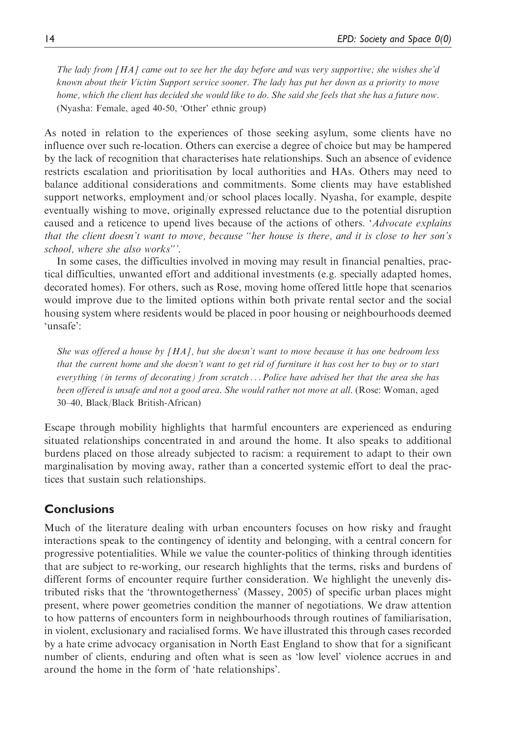The lady from [HA] came out to see her the day before and was very supportive; she wishes she'd known about their Victim Support service sooner. The lady has put her down as a priority to move home, which the client has decided she would like to do. She said she feels that she has a future now. (Nyasha: Female, aged 40-50, 'Other' ethnic group)

As noted in relation to the experiences of those seeking asylum, some clients have no influence over such re-location. Others can exercise a degree of choice but may be hampered by the lack of recognition that characterises hate relationships. Such an absence of evidence restricts escalation and prioritisation by local authorities and HAs. Others may need to balance additional considerations and commitments. Some clients may have established support networks, employment and/or school places locally. Nyasha, for example, despite eventually wishing to move, originally expressed reluctance due to the potential disruption caused and a reticence to upend lives because of the actions of others. 'Advocate explains' that the client doesn't want to move, because "her house is there, and it is close to her son's school, where she also works"'.

In some cases, the difficulties involved in moving may result in financial penalties, practical difficulties, unwanted effort and additional investments (e.g. specially adapted homes, decorated homes). For others, such as Rose, moving home offered little hope that scenarios would improve due to the limited options within both private rental sector and the social housing system where residents would be placed in poor housing or neighbourhoods deemed 'unsafe':

She was offered a house by  $[HA]$ , but she doesn't want to move because it has one bedroom less that the current home and she doesn't want to get rid of furniture it has cost her to buy or to start everything (in terms of decorating) from scratch ... Police have advised her that the area she has been offered is unsafe and not a good area. She would rather not move at all. (Rose: Woman, aged 30–40, Black/Black British-African)

Escape through mobility highlights that harmful encounters are experienced as enduring situated relationships concentrated in and around the home. It also speaks to additional burdens placed on those already subjected to racism: a requirement to adapt to their own marginalisation by moving away, rather than a concerted systemic effort to deal the practices that sustain such relationships.

## **Conclusions**

Much of the literature dealing with urban encounters focuses on how risky and fraught interactions speak to the contingency of identity and belonging, with a central concern for progressive potentialities. While we value the counter-politics of thinking through identities that are subject to re-working, our research highlights that the terms, risks and burdens of different forms of encounter require further consideration. We highlight the unevenly distributed risks that the 'throwntogetherness' (Massey, 2005) of specific urban places might present, where power geometries condition the manner of negotiations. We draw attention to how patterns of encounters form in neighbourhoods through routines of familiarisation, in violent, exclusionary and racialised forms. We have illustrated this through cases recorded by a hate crime advocacy organisation in North East England to show that for a significant number of clients, enduring and often what is seen as 'low level' violence accrues in and around the home in the form of 'hate relationships'.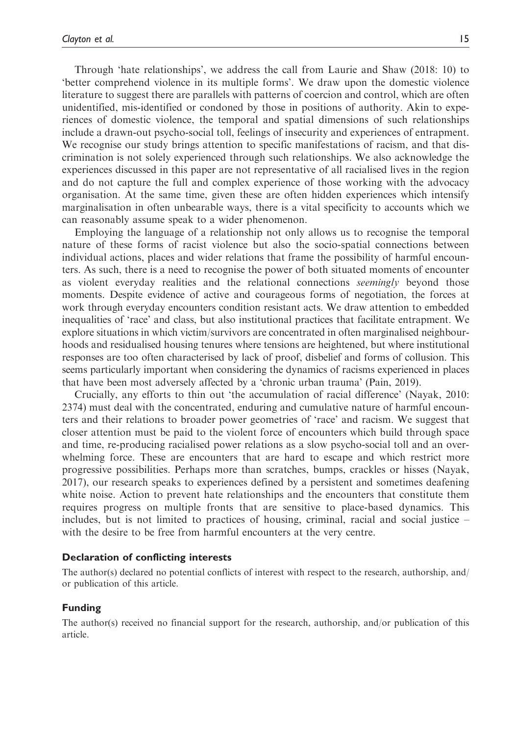Through 'hate relationships', we address the call from Laurie and Shaw (2018: 10) to 'better comprehend violence in its multiple forms'. We draw upon the domestic violence literature to suggest there are parallels with patterns of coercion and control, which are often unidentified, mis-identified or condoned by those in positions of authority. Akin to experiences of domestic violence, the temporal and spatial dimensions of such relationships include a drawn-out psycho-social toll, feelings of insecurity and experiences of entrapment. We recognise our study brings attention to specific manifestations of racism, and that discrimination is not solely experienced through such relationships. We also acknowledge the experiences discussed in this paper are not representative of all racialised lives in the region and do not capture the full and complex experience of those working with the advocacy organisation. At the same time, given these are often hidden experiences which intensify marginalisation in often unbearable ways, there is a vital specificity to accounts which we can reasonably assume speak to a wider phenomenon.

Employing the language of a relationship not only allows us to recognise the temporal nature of these forms of racist violence but also the socio-spatial connections between individual actions, places and wider relations that frame the possibility of harmful encounters. As such, there is a need to recognise the power of both situated moments of encounter as violent everyday realities and the relational connections *seemingly* beyond those moments. Despite evidence of active and courageous forms of negotiation, the forces at work through everyday encounters condition resistant acts. We draw attention to embedded inequalities of 'race' and class, but also institutional practices that facilitate entrapment. We explore situations in which victim/survivors are concentrated in often marginalised neighbourhoods and residualised housing tenures where tensions are heightened, but where institutional responses are too often characterised by lack of proof, disbelief and forms of collusion. This seems particularly important when considering the dynamics of racisms experienced in places that have been most adversely affected by a 'chronic urban trauma' (Pain, 2019).

Crucially, any efforts to thin out 'the accumulation of racial difference' (Nayak, 2010: 2374) must deal with the concentrated, enduring and cumulative nature of harmful encounters and their relations to broader power geometries of 'race' and racism. We suggest that closer attention must be paid to the violent force of encounters which build through space and time, re-producing racialised power relations as a slow psycho-social toll and an overwhelming force. These are encounters that are hard to escape and which restrict more progressive possibilities. Perhaps more than scratches, bumps, crackles or hisses (Nayak, 2017), our research speaks to experiences defined by a persistent and sometimes deafening white noise. Action to prevent hate relationships and the encounters that constitute them requires progress on multiple fronts that are sensitive to place-based dynamics. This includes, but is not limited to practices of housing, criminal, racial and social justice – with the desire to be free from harmful encounters at the very centre.

#### Declaration of conflicting interests

The author(s) declared no potential conflicts of interest with respect to the research, authorship, and/ or publication of this article.

#### Funding

The author(s) received no financial support for the research, authorship, and/or publication of this article.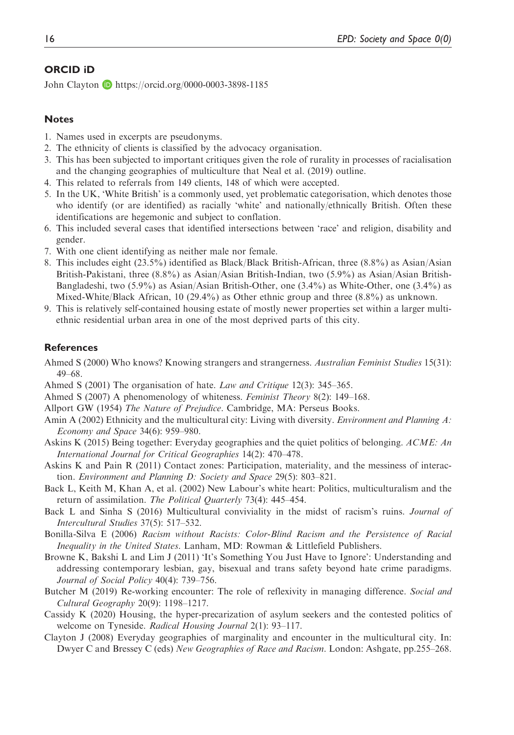#### ORCID iD

John Clayton **b** <https://orcid.org/0000-0003-3898-1185>

#### **Notes**

- 1. Names used in excerpts are pseudonyms.
- 2. The ethnicity of clients is classified by the advocacy organisation.
- 3. This has been subjected to important critiques given the role of rurality in processes of racialisation and the changing geographies of multiculture that Neal et al. (2019) outline.
- 4. This related to referrals from 149 clients, 148 of which were accepted.
- 5. In the UK, 'White British' is a commonly used, yet problematic categorisation, which denotes those who identify (or are identified) as racially 'white' and nationally/ethnically British. Often these identifications are hegemonic and subject to conflation.
- 6. This included several cases that identified intersections between 'race' and religion, disability and gender.
- 7. With one client identifying as neither male nor female.
- 8. This includes eight (23.5%) identified as Black/Black British-African, three (8.8%) as Asian/Asian British-Pakistani, three (8.8%) as Asian/Asian British-Indian, two (5.9%) as Asian/Asian British-Bangladeshi, two (5.9%) as Asian/Asian British-Other, one (3.4%) as White-Other, one (3.4%) as Mixed-White/Black African, 10 (29.4%) as Other ethnic group and three (8.8%) as unknown.
- 9. This is relatively self-contained housing estate of mostly newer properties set within a larger multiethnic residential urban area in one of the most deprived parts of this city.

#### **References**

- Ahmed S (2000) Who knows? Knowing strangers and strangerness. Australian Feminist Studies 15(31): 49–68.
- Ahmed S (2001) The organisation of hate. Law and Critique 12(3): 345–365.
- Ahmed S (2007) A phenomenology of whiteness. Feminist Theory 8(2): 149–168.
- Allport GW (1954) The Nature of Prejudice. Cambridge, MA: Perseus Books.
- Amin A (2002) Ethnicity and the multicultural city: Living with diversity. Environment and Planning A: Economy and Space 34(6): 959–980.
- Askins K (2015) Being together: Everyday geographies and the quiet politics of belonging. ACME: An International Journal for Critical Geographies 14(2): 470–478.
- Askins K and Pain R (2011) Contact zones: Participation, materiality, and the messiness of interaction. Environment and Planning D: Society and Space 29(5): 803–821.
- Back L, Keith M, Khan A, et al. (2002) New Labour's white heart: Politics, multiculturalism and the return of assimilation. The Political Quarterly 73(4): 445–454.
- Back L and Sinha S (2016) Multicultural conviviality in the midst of racism's ruins. Journal of Intercultural Studies 37(5): 517–532.
- Bonilla-Silva E (2006) Racism without Racists: Color-Blind Racism and the Persistence of Racial Inequality in the United States. Lanham, MD: Rowman & Littlefield Publishers.
- Browne K, Bakshi L and Lim J (2011) 'It's Something You Just Have to Ignore': Understanding and addressing contemporary lesbian, gay, bisexual and trans safety beyond hate crime paradigms. Journal of Social Policy 40(4): 739–756.
- Butcher M (2019) Re-working encounter: The role of reflexivity in managing difference. Social and Cultural Geography 20(9): 1198–1217.
- Cassidy K (2020) Housing, the hyper-precarization of asylum seekers and the contested politics of welcome on Tyneside. Radical Housing Journal 2(1): 93-117.
- Clayton J (2008) Everyday geographies of marginality and encounter in the multicultural city. In: Dwyer C and Bressey C (eds) New Geographies of Race and Racism. London: Ashgate, pp.255–268.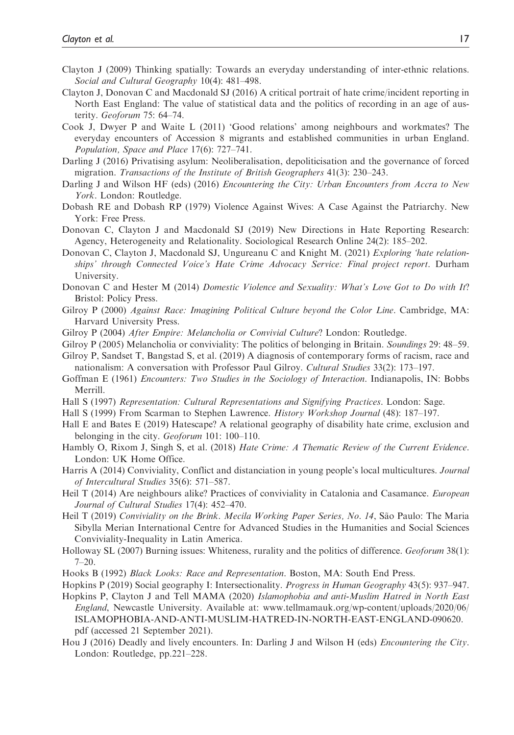- Clayton J (2009) Thinking spatially: Towards an everyday understanding of inter-ethnic relations. Social and Cultural Geography 10(4): 481–498.
- Clayton J, Donovan C and Macdonald SJ (2016) A critical portrait of hate crime/incident reporting in North East England: The value of statistical data and the politics of recording in an age of austerity. Geoforum 75: 64–74.
- Cook J, Dwyer P and Waite L (2011) 'Good relations' among neighbours and workmates? The everyday encounters of Accession 8 migrants and established communities in urban England. Population, Space and Place 17(6): 727–741.
- Darling J (2016) Privatising asylum: Neoliberalisation, depoliticisation and the governance of forced migration. Transactions of the Institute of British Geographers 41(3): 230–243.
- Darling J and Wilson HF (eds) (2016) *Encountering the City: Urban Encounters from Accra to New* York. London: Routledge.
- Dobash RE and Dobash RP (1979) Violence Against Wives: A Case Against the Patriarchy. New York: Free Press.
- Donovan C, Clayton J and Macdonald SJ (2019) New Directions in Hate Reporting Research: Agency, Heterogeneity and Relationality. Sociological Research Online 24(2): 185–202.
- Donovan C, Clayton J, Macdonald SJ, Ungureanu C and Knight M. (2021) Exploring 'hate relationships' through Connected Voice's Hate Crime Advocacy Service: Final project report. Durham University.
- Donovan C and Hester M (2014) Domestic Violence and Sexuality: What's Love Got to Do with It? Bristol: Policy Press.
- Gilroy P (2000) Against Race: Imagining Political Culture beyond the Color Line. Cambridge, MA: Harvard University Press.
- Gilroy P (2004) After Empire: Melancholia or Convivial Culture? London: Routledge.
- Gilroy P (2005) Melancholia or conviviality: The politics of belonging in Britain. Soundings 29: 48–59.
- Gilroy P, Sandset T, Bangstad S, et al. (2019) A diagnosis of contemporary forms of racism, race and nationalism: A conversation with Professor Paul Gilroy. Cultural Studies 33(2): 173–197.
- Goffman E (1961) Encounters: Two Studies in the Sociology of Interaction. Indianapolis, IN: Bobbs Merrill.
- Hall S (1997) Representation: Cultural Representations and Signifying Practices. London: Sage.
- Hall S (1999) From Scarman to Stephen Lawrence. History Workshop Journal (48): 187–197.
- Hall E and Bates E (2019) Hatescape? A relational geography of disability hate crime, exclusion and belonging in the city. Geoforum 101: 100-110.
- Hambly O, Rixom J, Singh S, et al. (2018) Hate Crime: A Thematic Review of the Current Evidence. London: UK Home Office.
- Harris A (2014) Conviviality, Conflict and distanciation in young people's local multicultures. Journal of Intercultural Studies 35(6): 571–587.
- Heil T (2014) Are neighbours alike? Practices of conviviality in Catalonia and Casamance. *European* Journal of Cultural Studies 17(4): 452–470.
- Heil T (2019) Conviviality on the Brink. Mecila Working Paper Series, No. 14, São Paulo: The Maria Sibylla Merian International Centre for Advanced Studies in the Humanities and Social Sciences Conviviality-Inequality in Latin America.
- Holloway SL (2007) Burning issues: Whiteness, rurality and the politics of difference. Geoforum 38(1): 7–20.
- Hooks B (1992) Black Looks: Race and Representation. Boston, MA: South End Press.
- Hopkins P (2019) Social geography I: Intersectionality. Progress in Human Geography 43(5): 937–947.
- Hopkins P, Clayton J and Tell MAMA (2020) Islamophobia and anti-Muslim Hatred in North East England, Newcastle University. Available at: [www.tellmamauk.org/wp-content/uploads/2020/06/](http://www.tellmamauk.org/wp-content/uploads/2020/06/ISLAMOPHOBIA-AND-ANTI-MUSLIM-HATRED-IN-NORTH-EAST-ENGLAND-090620.pdf) [ISLAMOPHOBIA-AND-ANTI-MUSLIM-HATRED-IN-NORTH-EAST-ENGLAND-090620.](http://www.tellmamauk.org/wp-content/uploads/2020/06/ISLAMOPHOBIA-AND-ANTI-MUSLIM-HATRED-IN-NORTH-EAST-ENGLAND-090620.pdf) [pdf](http://www.tellmamauk.org/wp-content/uploads/2020/06/ISLAMOPHOBIA-AND-ANTI-MUSLIM-HATRED-IN-NORTH-EAST-ENGLAND-090620.pdf) (accessed 21 September 2021).
- Hou J (2016) Deadly and lively encounters. In: Darling J and Wilson H (eds) Encountering the City. London: Routledge, pp.221–228.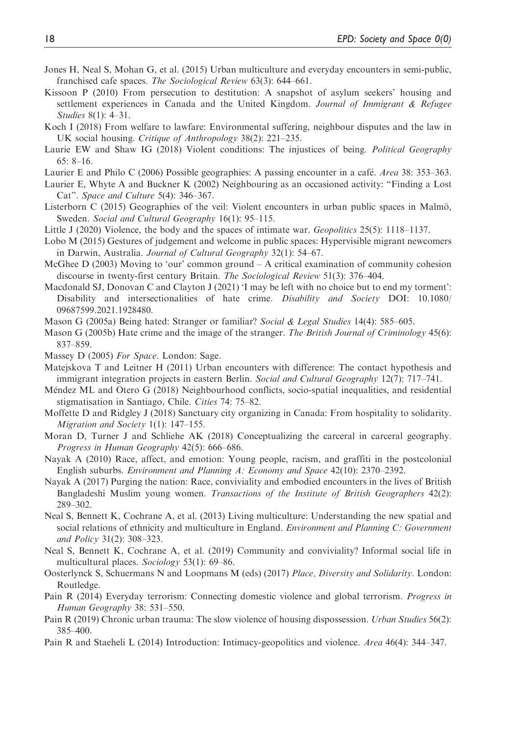- Jones H, Neal S, Mohan G, et al. (2015) Urban multiculture and everyday encounters in semi-public, franchised cafe spaces. The Sociological Review 63(3): 644–661.
- Kissoon P (2010) From persecution to destitution: A snapshot of asylum seekers' housing and settlement experiences in Canada and the United Kingdom. Journal of Immigrant  $\&$  Refugee Studies 8(1): 4–31.
- Koch I (2018) From welfare to lawfare: Environmental suffering, neighbour disputes and the law in UK social housing. Critique of Anthropology 38(2): 221–235.
- Laurie EW and Shaw IG (2018) Violent conditions: The injustices of being. *Political Geography* 65: 8–16.
- Laurier E and Philo C (2006) Possible geographies: A passing encounter in a café. Area 38: 353–363.
- Laurier E, Whyte A and Buckner K (2002) Neighbouring as an occasioned activity: "Finding a Lost Cat". Space and Culture 5(4): 346–367.
- Listerborn C (2015) Geographies of the veil: Violent encounters in urban public spaces in Malmö, Sweden. Social and Cultural Geography 16(1): 95–115.
- Little J (2020) Violence, the body and the spaces of intimate war. Geopolitics 25(5): 1118–1137.
- Lobo M (2015) Gestures of judgement and welcome in public spaces: Hypervisible migrant newcomers in Darwin, Australia. Journal of Cultural Geography 32(1): 54–67.
- McGhee  $D$  (2003) Moving to 'our' common ground  $-A$  critical examination of community cohesion discourse in twenty-first century Britain. The Sociological Review 51(3): 376–404.
- Macdonald SJ, Donovan C and Clayton J (2021) 'I may be left with no choice but to end my torment': Disability and intersectionalities of hate crime. Disability and Society DOI: 10.1080/ 09687599.2021.1928480.
- Mason G (2005a) Being hated: Stranger or familiar? Social & Legal Studies 14(4): 585–605.
- Mason G (2005b) Hate crime and the image of the stranger. The British Journal of Criminology 45(6): 837–859.
- Massey D (2005) For Space. London: Sage.
- Matejskova T and Leitner H (2011) Urban encounters with difference: The contact hypothesis and immigrant integration projects in eastern Berlin. Social and Cultural Geography 12(7): 717–741.
- Méndez ML and Otero G (2018) Neighbourhood conflicts, socio-spatial inequalities, and residential stigmatisation in Santiago, Chile. Cities 74: 75–82.
- Moffette D and Ridgley J (2018) Sanctuary city organizing in Canada: From hospitality to solidarity. Migration and Society 1(1): 147–155.
- Moran D, Turner J and Schliehe AK (2018) Conceptualizing the carceral in carceral geography. Progress in Human Geography 42(5): 666–686.
- Nayak A (2010) Race, affect, and emotion: Young people, racism, and graffiti in the postcolonial English suburbs. Environment and Planning A: Economy and Space 42(10): 2370–2392.
- Nayak A (2017) Purging the nation: Race, conviviality and embodied encounters in the lives of British Bangladeshi Muslim young women. Transactions of the Institute of British Geographers 42(2): 289–302.
- Neal S, Bennett K, Cochrane A, et al. (2013) Living multiculture: Understanding the new spatial and social relations of ethnicity and multiculture in England. Environment and Planning C: Government and Policy 31(2): 308–323.
- Neal S, Bennett K, Cochrane A, et al. (2019) Community and conviviality? Informal social life in multicultural places. Sociology 53(1): 69–86.
- Oosterlynck S, Schuermans N and Loopmans M (eds) (2017) Place, Diversity and Solidarity. London: Routledge.
- Pain R (2014) Everyday terrorism: Connecting domestic violence and global terrorism. Progress in Human Geography 38: 531–550.
- Pain R (2019) Chronic urban trauma: The slow violence of housing dispossession. Urban Studies 56(2): 385–400.
- Pain R and Staeheli L (2014) Introduction: Intimacy-geopolitics and violence. Area 46(4): 344–347.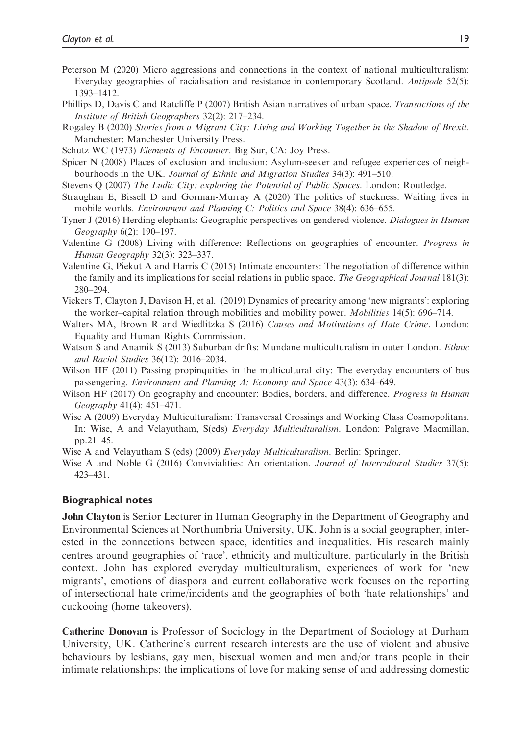- Peterson M (2020) Micro aggressions and connections in the context of national multiculturalism: Everyday geographies of racialisation and resistance in contemporary Scotland. *Antipode* 52(5): 1393–1412.
- Phillips D, Davis C and Ratcliffe P (2007) British Asian narratives of urban space. Transactions of the Institute of British Geographers 32(2): 217–234.
- Rogaley B (2020) Stories from a Migrant City: Living and Working Together in the Shadow of Brexit. Manchester: Manchester University Press.
- Schutz WC (1973) Elements of Encounter. Big Sur, CA: Joy Press.
- Spicer N (2008) Places of exclusion and inclusion: Asylum-seeker and refugee experiences of neighbourhoods in the UK. Journal of Ethnic and Migration Studies 34(3): 491–510.
- Stevens Q (2007) The Ludic City: exploring the Potential of Public Spaces. London: Routledge.
- Straughan E, Bissell D and Gorman-Murray A (2020) The politics of stuckness: Waiting lives in mobile worlds. Environment and Planning C: Politics and Space 38(4): 636–655.
- Tyner J (2016) Herding elephants: Geographic perspectives on gendered violence. Dialogues in Human Geography 6(2): 190–197.
- Valentine G (2008) Living with difference: Reflections on geographies of encounter. Progress in Human Geography 32(3): 323–337.
- Valentine G, Piekut A and Harris C (2015) Intimate encounters: The negotiation of difference within the family and its implications for social relations in public space. The Geographical Journal 181(3): 280–294.
- Vickers T, Clayton J, Davison H, et al. (2019) Dynamics of precarity among 'new migrants': exploring the worker–capital relation through mobilities and mobility power. *Mobilities* 14(5): 696–714.
- Walters MA, Brown R and Wiedlitzka S (2016) Causes and Motivations of Hate Crime. London: Equality and Human Rights Commission.
- Watson S and Anamik S (2013) Suburban drifts: Mundane multiculturalism in outer London. *Ethnic* and Racial Studies 36(12): 2016–2034.
- Wilson HF (2011) Passing propinquities in the multicultural city: The everyday encounters of bus passengering. Environment and Planning A: Economy and Space 43(3): 634–649.
- Wilson HF (2017) On geography and encounter: Bodies, borders, and difference. *Progress in Human* Geography 41(4): 451–471.
- Wise A (2009) Everyday Multiculturalism: Transversal Crossings and Working Class Cosmopolitans. In: Wise, A and Velayutham, S(eds) Everyday Multiculturalism. London: Palgrave Macmillan, pp.21–45.
- Wise A and Velayutham S (eds) (2009) Everyday Multiculturalism. Berlin: Springer.
- Wise A and Noble G (2016) Convivialities: An orientation. Journal of Intercultural Studies 37(5): 423–431.

#### Biographical notes

John Clayton is Senior Lecturer in Human Geography in the Department of Geography and Environmental Sciences at Northumbria University, UK. John is a social geographer, interested in the connections between space, identities and inequalities. His research mainly centres around geographies of 'race', ethnicity and multiculture, particularly in the British context. John has explored everyday multiculturalism, experiences of work for 'new migrants', emotions of diaspora and current collaborative work focuses on the reporting of intersectional hate crime/incidents and the geographies of both 'hate relationships' and cuckooing (home takeovers).

Catherine Donovan is Professor of Sociology in the Department of Sociology at Durham University, UK. Catherine's current research interests are the use of violent and abusive behaviours by lesbians, gay men, bisexual women and men and/or trans people in their intimate relationships; the implications of love for making sense of and addressing domestic